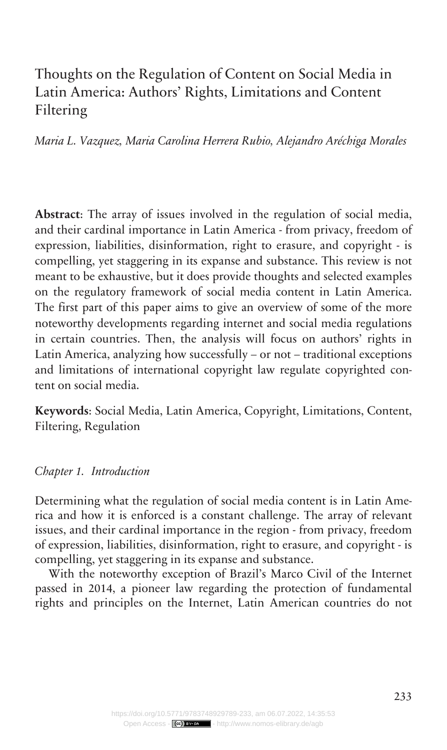# Thoughts on the Regulation of Content on Social Media in Latin America: Authors' Rights, Limitations and Content Filtering

*Maria L. Vazquez, Maria Carolina Herrera Rubio, Alejandro Aréchiga Morales*

**Abstract**: The array of issues involved in the regulation of social media, and their cardinal importance in Latin America - from privacy, freedom of expression, liabilities, disinformation, right to erasure, and copyright - is compelling, yet staggering in its expanse and substance. This review is not meant to be exhaustive, but it does provide thoughts and selected examples on the regulatory framework of social media content in Latin America. The first part of this paper aims to give an overview of some of the more noteworthy developments regarding internet and social media regulations in certain countries. Then, the analysis will focus on authors' rights in Latin America, analyzing how successfully – or not – traditional exceptions and limitations of international copyright law regulate copyrighted content on social media.

**Keywords**: Social Media, Latin America, Copyright, Limitations, Content, Filtering, Regulation

#### *Chapter 1. Introduction*

Determining what the regulation of social media content is in Latin America and how it is enforced is a constant challenge. The array of relevant issues, and their cardinal importance in the region - from privacy, freedom of expression, liabilities, disinformation, right to erasure, and copyright - is compelling, yet staggering in its expanse and substance.

With the noteworthy exception of Brazil's Marco Civil of the Internet passed in 2014, a pioneer law regarding the protection of fundamental rights and principles on the Internet, Latin American countries do not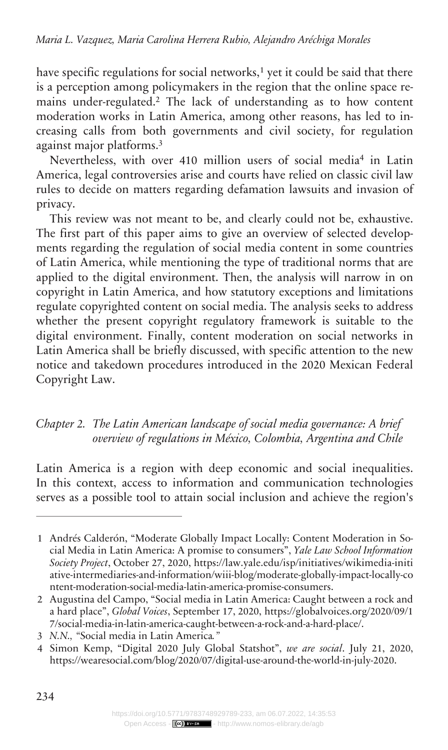have specific regulations for social networks,<sup>1</sup> yet it could be said that there is a perception among policymakers in the region that the online space remains under-regulated.<sup>2</sup> The lack of understanding as to how content moderation works in Latin America, among other reasons, has led to increasing calls from both governments and civil society, for regulation against major platforms.<sup>3</sup>

Nevertheless, with over 410 million users of social media<sup>4</sup> in Latin America, legal controversies arise and courts have relied on classic civil law rules to decide on matters regarding defamation lawsuits and invasion of privacy.

This review was not meant to be, and clearly could not be, exhaustive. The first part of this paper aims to give an overview of selected developments regarding the regulation of social media content in some countries of Latin America, while mentioning the type of traditional norms that are applied to the digital environment. Then, the analysis will narrow in on copyright in Latin America, and how statutory exceptions and limitations regulate copyrighted content on social media. The analysis seeks to address whether the present copyright regulatory framework is suitable to the digital environment. Finally, content moderation on social networks in Latin America shall be briefly discussed, with specific attention to the new notice and takedown procedures introduced in the 2020 Mexican Federal Copyright Law.

## *The Latin American landscape of social media governance: A brief Chapter 2. overview of regulations in México, Colombia, Argentina and Chile*

Latin America is a region with deep economic and social inequalities. In this context, access to information and communication technologies serves as a possible tool to attain social inclusion and achieve the region's

<sup>1</sup> Andrés Calderón, "Moderate Globally Impact Locally: Content Moderation in Social Media in Latin America: A promise to consumers", *Yale Law School Information Society Project*, October 27, 2020, [https://law.yale.edu/isp/initiatives/wikimedia-initi](https://law.yale.edu/isp/initiatives/wikimedia-initiative-intermediaries-and-information/wiii-blog/moderate-globally-impact-locally-content-moderation-social-media-latin-america-promise-consumers) [ative-intermediaries-and-information/wiii-blog/moderate-globally-impact-locally-co](https://law.yale.edu/isp/initiatives/wikimedia-initiative-intermediaries-and-information/wiii-blog/moderate-globally-impact-locally-content-moderation-social-media-latin-america-promise-consumers) [ntent-moderation-social-media-latin-america-promise-consumers](https://law.yale.edu/isp/initiatives/wikimedia-initiative-intermediaries-and-information/wiii-blog/moderate-globally-impact-locally-content-moderation-social-media-latin-america-promise-consumers).

<sup>2</sup> Augustina del Campo, "Social media in Latin America: Caught between a rock and a hard place", *Global Voices*, September 17, 2020, [https://globalvoices.org/2020/09/1](https://globalvoices.org/2020/09/17/social-media-in-latin-america-caught-between-a-rock-and-a-hard-place/) [7/social-media-in-latin-america-caught-between-a-rock-and-a-hard-place/](https://globalvoices.org/2020/09/17/social-media-in-latin-america-caught-between-a-rock-and-a-hard-place/).

<sup>3</sup> *N.N., "*Social media in Latin America*."*

<sup>4</sup> Simon Kemp, "Digital 2020 July Global Statshot", *we are social*. July 21, 2020, [https://wearesocial.com/blog/2020/07/digital-use-around-the-world-in-july-2020.](https://wearesocial.com/blog/2020/07/digital-use-around-the-world-in-july-2020)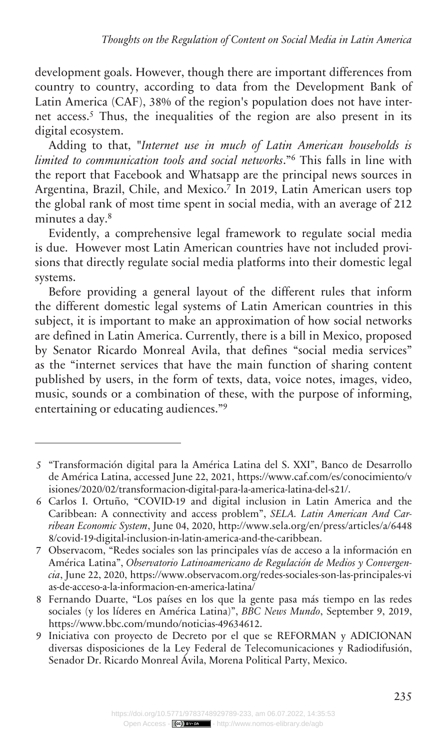development goals. However, though there are important differences from country to country, according to data from the Development Bank of Latin America (CAF), 38% of the region's population does not have internet access.<sup>5</sup> Thus, the inequalities of the region are also present in its digital ecosystem.

Adding to that, "*Internet use in much of Latin American households is limited to communication tools and social networks*."<sup>6</sup> This falls in line with the report that Facebook and Whatsapp are the principal news sources in Argentina, Brazil, Chile, and Mexico.<sup>7</sup> In 2019, Latin American users top the global rank of most time spent in social media, with an average of 212 minutes a day.<sup>8</sup>

Evidently, a comprehensive legal framework to regulate social media is due. However most Latin American countries have not included provisions that directly regulate social media platforms into their domestic legal systems.

Before providing a general layout of the different rules that inform the different domestic legal systems of Latin American countries in this subject, it is important to make an approximation of how social networks are defined in Latin America. Currently, there is a bill in Mexico, proposed by Senator Ricardo Monreal Avila, that defines "social media services" as the "internet services that have the main function of sharing content published by users, in the form of texts, data, voice notes, images, video, music, sounds or a combination of these, with the purpose of informing, entertaining or educating audiences."<sup>9</sup>

<sup>5</sup> "Transformación digital para la América Latina del S. XXI", Banco de Desarrollo de América Latina, accessed June 22, 2021, [https://www.caf.com/es/conocimiento/v](https://www.caf.com/es/conocimiento/visiones/2020/02/transformacion-digital-para-la-america-latina-del-s21/) [isiones/2020/02/transformacion-digital-para-la-america-latina-del-s21/](https://www.caf.com/es/conocimiento/visiones/2020/02/transformacion-digital-para-la-america-latina-del-s21/).

<sup>6</sup> Carlos I. Ortuño, "COVID-19 and digital inclusion in Latin America and the Caribbean: A connectivity and access problem", *SELA. Latin American And Carribean Economic System*, June 04, 2020, [http://www.sela.org/en/press/articles/a/6448](http://www.sela.org/en/press/articles/a/64488/covid-19-digital-inclusion-in-latin-america-and-the-caribbean) [8/covid-19-digital-inclusion-in-latin-america-and-the-caribbean.](http://www.sela.org/en/press/articles/a/64488/covid-19-digital-inclusion-in-latin-america-and-the-caribbean)

<sup>7</sup> Observacom, "Redes sociales son las principales vías de acceso a la información en América Latina", *Observatorio Latinoamericano de Regulación de Medios y Convergencia*, June 22, 2020, [https://www.observacom.org/redes-sociales-son-las-principales-vi](https://www.observacom.org/redes-sociales-son-las-principales-vias-de-acceso-a-la-informacion-en-america-latina/) [as-de-acceso-a-la-informacion-en-america-latina/](https://www.observacom.org/redes-sociales-son-las-principales-vias-de-acceso-a-la-informacion-en-america-latina/)

<sup>8</sup> Fernando Duarte, "Los países en los que la gente pasa más tiempo en las redes sociales (y los líderes en América Latina)", *BBC News Mundo*, September 9, 2019, [https://www.bbc.com/mundo/noticias-49634612.](https://www.bbc.com/mundo/noticias-49634612)

<sup>9</sup> Iniciativa con proyecto de Decreto por el que se REFORMAN y ADICIONAN diversas disposiciones de la Ley Federal de Telecomunicaciones y Radiodifusión, Senador Dr. Ricardo Monreal Ávila, Morena Political Party, Mexico.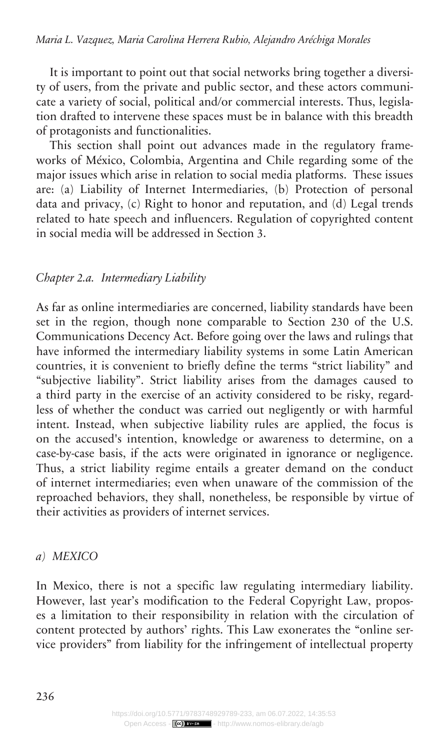It is important to point out that social networks bring together a diversity of users, from the private and public sector, and these actors communicate a variety of social, political and/or commercial interests. Thus, legislation drafted to intervene these spaces must be in balance with this breadth of protagonists and functionalities.

This section shall point out advances made in the regulatory frameworks of México, Colombia, Argentina and Chile regarding some of the major issues which arise in relation to social media platforms. These issues are: (a) Liability of Internet Intermediaries, (b) Protection of personal data and privacy, (c) Right to honor and reputation, and (d) Legal trends related to hate speech and influencers. Regulation of copyrighted content in social media will be addressed in Section 3.

#### *Intermediary Liability Chapter 2.a.*

As far as online intermediaries are concerned, liability standards have been set in the region, though none comparable to Section 230 of the U.S. Communications Decency Act. Before going over the laws and rulings that have informed the intermediary liability systems in some Latin American countries, it is convenient to briefly define the terms "strict liability" and "subjective liability". Strict liability arises from the damages caused to a third party in the exercise of an activity considered to be risky, regardless of whether the conduct was carried out negligently or with harmful intent. Instead, when subjective liability rules are applied, the focus is on the accused's intention, knowledge or awareness to determine, on a case-by-case basis, if the acts were originated in ignorance or negligence. Thus, a strict liability regime entails a greater demand on the conduct of internet intermediaries; even when unaware of the commission of the reproached behaviors, they shall, nonetheless, be responsible by virtue of their activities as providers of internet services.

#### *MEXICO a)*

In Mexico, there is not a specific law regulating intermediary liability. However, last year's modification to the Federal Copyright Law, proposes a limitation to their responsibility in relation with the circulation of content protected by authors' rights. This Law exonerates the "online service providers" from liability for the infringement of intellectual property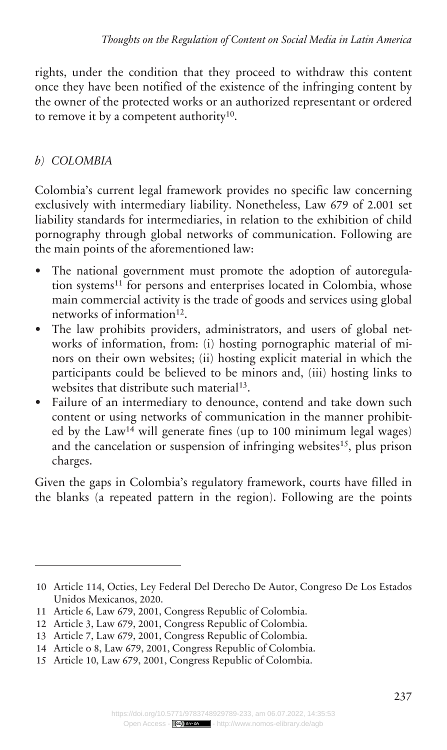rights, under the condition that they proceed to withdraw this content once they have been notified of the existence of the infringing content by the owner of the protected works or an authorized representant or ordered to remove it by a competent authority<sup>10</sup>.

## *COLOMBIA b)*

Colombia's current legal framework provides no specific law concerning exclusively with intermediary liability. Nonetheless, Law 679 of 2.001 set liability standards for intermediaries, in relation to the exhibition of child pornography through global networks of communication. Following are the main points of the aforementioned law:

- The national government must promote the adoption of autoregulation systems<sup>11</sup> for persons and enterprises located in Colombia, whose main commercial activity is the trade of goods and services using global networks of information<sup>12</sup>.
- The law prohibits providers, administrators, and users of global networks of information, from: (i) hosting pornographic material of minors on their own websites; (ii) hosting explicit material in which the participants could be believed to be minors and, (iii) hosting links to websites that distribute such material<sup>13</sup>.
- Failure of an intermediary to denounce, contend and take down such content or using networks of communication in the manner prohibited by the  $Law<sup>14</sup>$  will generate fines (up to 100 minimum legal wages) and the cancelation or suspension of infringing websites<sup>15</sup>, plus prison charges.

Given the gaps in Colombia's regulatory framework, courts have filled in the blanks (a repeated pattern in the region). Following are the points

<sup>10</sup> Article 114, Octies, Ley Federal Del Derecho De Autor, Congreso De Los Estados Unidos Mexicanos, 2020.

<sup>11</sup> Article 6, Law 679, 2001, Congress Republic of Colombia.

<sup>12</sup> Article 3, Law 679, 2001, Congress Republic of Colombia.

<sup>13</sup> Article 7, Law 679, 2001, Congress Republic of Colombia.

<sup>14</sup> Article o 8, Law 679, 2001, Congress Republic of Colombia.

<sup>15</sup> Article 10, Law 679, 2001, Congress Republic of Colombia.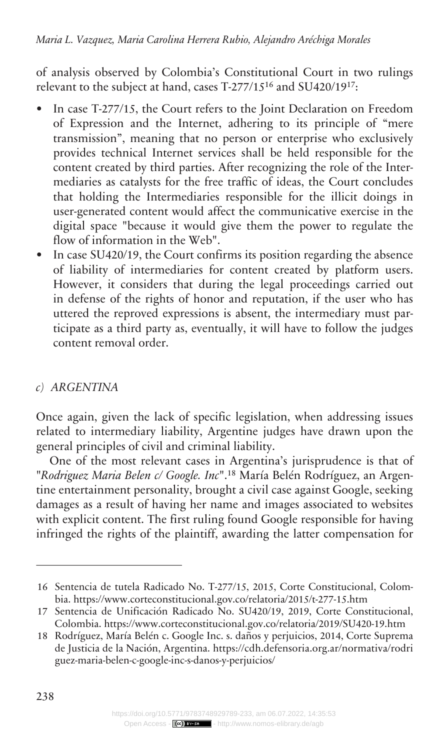of analysis observed by Colombia's Constitutional Court in two rulings relevant to the subject at hand, cases T-277/15<sup>16</sup> and SU420/19<sup>17</sup>:

- In case T-277/15, the Court refers to the Joint Declaration on Freedom of Expression and the Internet, adhering to its principle of "mere transmission", meaning that no person or enterprise who exclusively provides technical Internet services shall be held responsible for the content created by third parties. After recognizing the role of the Intermediaries as catalysts for the free traffic of ideas, the Court concludes that holding the Intermediaries responsible for the illicit doings in user-generated content would affect the communicative exercise in the digital space "because it would give them the power to regulate the flow of information in the Web".
- In case SU420/19, the Court confirms its position regarding the absence of liability of intermediaries for content created by platform users. However, it considers that during the legal proceedings carried out in defense of the rights of honor and reputation, if the user who has uttered the reproved expressions is absent, the intermediary must participate as a third party as, eventually, it will have to follow the judges content removal order.

### *ARGENTINA c)*

Once again, given the lack of specific legislation, when addressing issues related to intermediary liability, Argentine judges have drawn upon the general principles of civil and criminal liability.

One of the most relevant cases in Argentina's jurisprudence is that of "*Rodriguez Maria Belen c/ Google. Inc*".18 María Belén Rodríguez, an Argentine entertainment personality, brought a civil case against Google, seeking damages as a result of having her name and images associated to websites with explicit content. The first ruling found Google responsible for having infringed the rights of the plaintiff, awarding the latter compensation for

<sup>16</sup> Sentencia de tutela Radicado No. T-277/15, 2015, Corte Constitucional, Colombia.<https://www.corteconstitucional.gov.co/relatoria/2015/t-277-15.htm>

<sup>17</sup> Sentencia de Unificación Radicado No. SU420/19, 2019, Corte Constitucional, Colombia. <https://www.corteconstitucional.gov.co/relatoria/2019/SU420-19.htm>

<sup>18</sup> Rodríguez, María Belén c. Google Inc. s. daños y perjuicios, 2014, Corte Suprema de Justicia de la Nación, Argentina. [https://cdh.defensoria.org.ar/normativa/rodri](https://cdh.defensoria.org.ar/normativa/rodriguez-maria-belen-c-google-inc-s-danos-y-perjuicios/) [guez-maria-belen-c-google-inc-s-danos-y-perjuicios/](https://cdh.defensoria.org.ar/normativa/rodriguez-maria-belen-c-google-inc-s-danos-y-perjuicios/)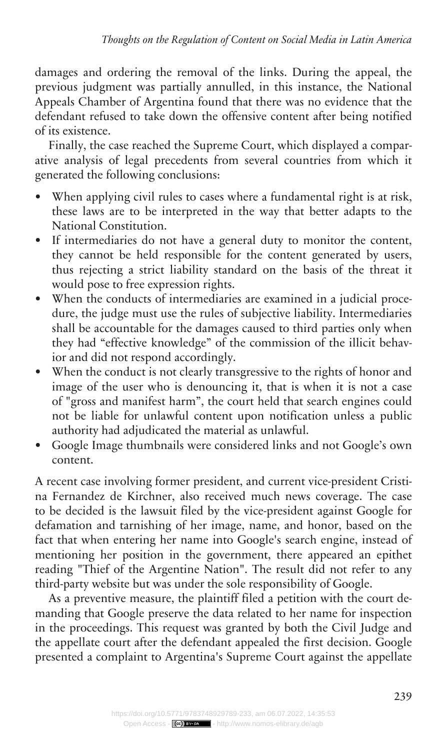damages and ordering the removal of the links. During the appeal, the previous judgment was partially annulled, in this instance, the National Appeals Chamber of Argentina found that there was no evidence that the defendant refused to take down the offensive content after being notified of its existence.

Finally, the case reached the Supreme Court, which displayed a comparative analysis of legal precedents from several countries from which it generated the following conclusions:

- When applying civil rules to cases where a fundamental right is at risk, these laws are to be interpreted in the way that better adapts to the National Constitution.
- If intermediaries do not have a general duty to monitor the content, they cannot be held responsible for the content generated by users, thus rejecting a strict liability standard on the basis of the threat it would pose to free expression rights.
- When the conducts of intermediaries are examined in a judicial procedure, the judge must use the rules of subjective liability. Intermediaries shall be accountable for the damages caused to third parties only when they had "effective knowledge" of the commission of the illicit behavior and did not respond accordingly.
- When the conduct is not clearly transgressive to the rights of honor and image of the user who is denouncing it, that is when it is not a case of "gross and manifest harm", the court held that search engines could not be liable for unlawful content upon notification unless a public authority had adjudicated the material as unlawful.
- Google Image thumbnails were considered links and not Google's own content.

A recent case involving former president, and current vice-president Cristina Fernandez de Kirchner, also received much news coverage. The case to be decided is the lawsuit filed by the vice-president against Google for defamation and tarnishing of her image, name, and honor, based on the fact that when entering her name into Google's search engine, instead of mentioning her position in the government, there appeared an epithet reading "Thief of the Argentine Nation". The result did not refer to any third-party website but was under the sole responsibility of Google.

As a preventive measure, the plaintiff filed a petition with the court demanding that Google preserve the data related to her name for inspection in the proceedings. This request was granted by both the Civil Judge and the appellate court after the defendant appealed the first decision. Google presented a complaint to Argentina's Supreme Court against the appellate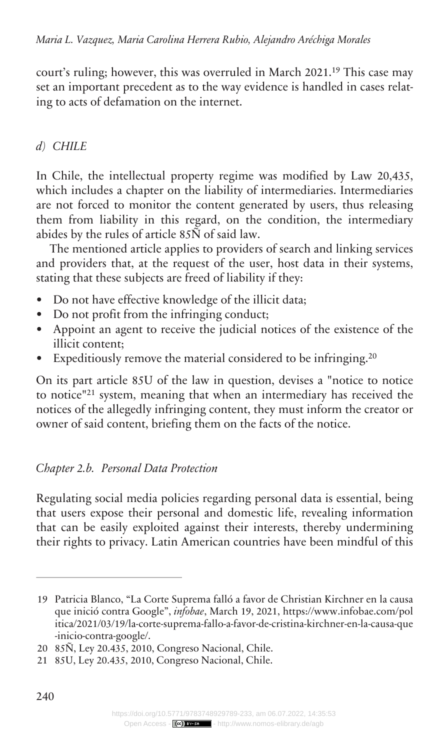court's ruling; however, this was overruled in March 2021.<sup>19</sup> This case may set an important precedent as to the way evidence is handled in cases relating to acts of defamation on the internet.

## *CHILE d)*

In Chile, the intellectual property regime was modified by Law 20,435, which includes a chapter on the liability of intermediaries. Intermediaries are not forced to monitor the content generated by users, thus releasing them from liability in this regard, on the condition, the intermediary abides by the rules of article 85Ñ of said law.

The mentioned article applies to providers of search and linking services and providers that, at the request of the user, host data in their systems, stating that these subjects are freed of liability if they:

- Do not have effective knowledge of the illicit data;
- Do not profit from the infringing conduct;
- Appoint an agent to receive the judicial notices of the existence of the illicit content;
- Expeditiously remove the material considered to be infringing.<sup>20</sup>

On its part article 85U of the law in question, devises a "notice to notice to notice"<sup>21</sup> system, meaning that when an intermediary has received the notices of the allegedly infringing content, they must inform the creator or owner of said content, briefing them on the facts of the notice.

## *Personal Data Protection Chapter 2.b.*

Regulating social media policies regarding personal data is essential, being that users expose their personal and domestic life, revealing information that can be easily exploited against their interests, thereby undermining their rights to privacy. Latin American countries have been mindful of this

<sup>19</sup> Patricia Blanco, "La Corte Suprema falló a favor de Christian Kirchner en la causa que inició contra Google", *infobae*, March 19, 2021, [https://www.infobae.com/pol](https://www.infobae.com/politica/2021/03/19/la-corte-suprema-fallo-a-favor-de-cristina-kirchner-en-la-causa-que-inicio-contra-google/) [itica/2021/03/19/la-corte-suprema-fallo-a-favor-de-cristina-kirchner-en-la-causa-que](https://www.infobae.com/politica/2021/03/19/la-corte-suprema-fallo-a-favor-de-cristina-kirchner-en-la-causa-que-inicio-contra-google/) [-inicio-contra-google/.](https://www.infobae.com/politica/2021/03/19/la-corte-suprema-fallo-a-favor-de-cristina-kirchner-en-la-causa-que-inicio-contra-google/)

<sup>20 85</sup>Ñ, Ley 20.435, 2010, Congreso Nacional, Chile.

<sup>21 85</sup>U, Ley 20.435, 2010, Congreso Nacional, Chile.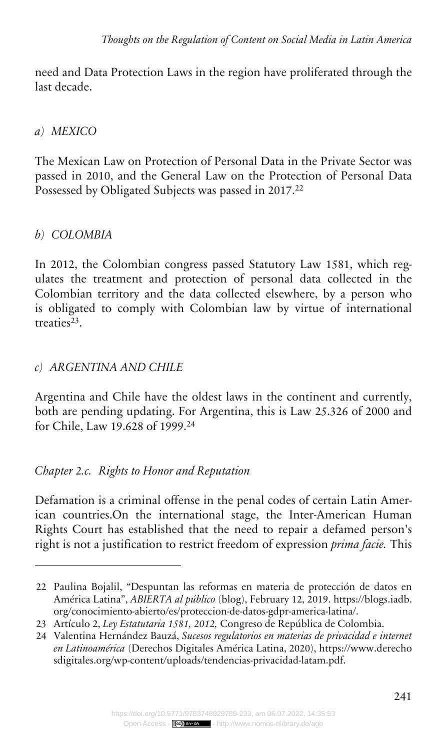need and Data Protection Laws in the region have proliferated through the last decade.

#### *MEXICO a)*

The Mexican Law on Protection of Personal Data in the Private Sector was passed in 2010, and the General Law on the Protection of Personal Data Possessed by Obligated Subjects was passed in 2017.<sup>22</sup>

## *COLOMBIA b)*

In 2012, the Colombian congress passed Statutory Law 1581, which regulates the treatment and protection of personal data collected in the Colombian territory and the data collected elsewhere, by a person who is obligated to comply with Colombian law by virtue of international treaties<sup>23</sup>.

### *ARGENTINA AND CHILE c)*

Argentina and Chile have the oldest laws in the continent and currently, both are pending updating. For Argentina, this is Law 25.326 of 2000 and for Chile, Law 19.628 of 1999.<sup>24</sup>

### *Rights to Honor and Reputation Chapter 2.c.*

Defamation is a criminal offense in the penal codes of certain Latin American countries.On the international stage, the Inter-American Human Rights Court has established that the need to repair a defamed person's right is not a justification to restrict freedom of expression *prima facie.* This

<sup>22</sup> Paulina Bojalil, "Despuntan las reformas en materia de protección de datos en América Latina", *ABIERTA al público* (blog), February 12, 2019. [https://blogs.iadb.](https://blogs.iadb.org/conocimiento-abierto/es/proteccion-de-datos-gdpr-america-latina/) [org/conocimiento-abierto/es/proteccion-de-datos-gdpr-america-latina/](https://blogs.iadb.org/conocimiento-abierto/es/proteccion-de-datos-gdpr-america-latina/).

<sup>23</sup> Artículo 2, *Ley Estatutaria 1581, 2012,* Congreso de República de Colombia.

<sup>24</sup> Valentina Hernández Bauzá, *Sucesos regulatorios en materias de privacidad e internet en Latinoamérica* (Derechos Digitales América Latina, 2020), [https://www.derecho](https://www.derechosdigitales.org/wp-content/uploads/tendencias-privacidad-latam.pdf) [sdigitales.org/wp-content/uploads/tendencias-privacidad-latam.pdf](https://www.derechosdigitales.org/wp-content/uploads/tendencias-privacidad-latam.pdf).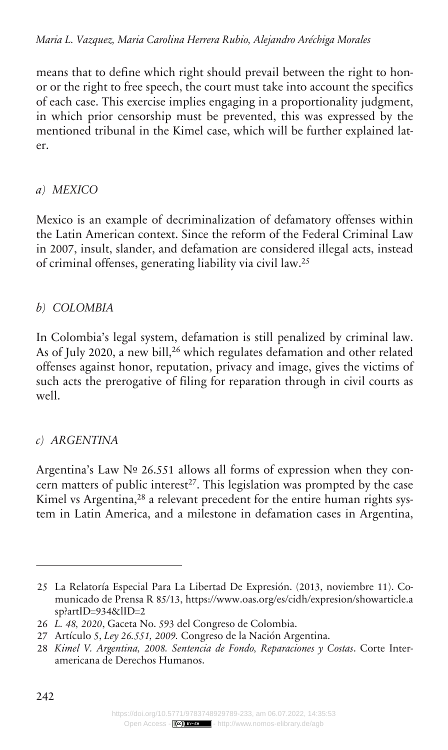#### *Maria L. Vazquez, Maria Carolina Herrera Rubio, Alejandro Aréchiga Morales*

means that to define which right should prevail between the right to honor or the right to free speech, the court must take into account the specifics of each case. This exercise implies engaging in a proportionality judgment, in which prior censorship must be prevented, this was expressed by the mentioned tribunal in the Kimel case, which will be further explained later.

#### *MEXICO a)*

Mexico is an example of decriminalization of defamatory offenses within the Latin American context. Since the reform of the Federal Criminal Law in 2007, insult, slander, and defamation are considered illegal acts, instead of criminal offenses, generating liability via civil law.<sup>25</sup>

### *COLOMBIA b)*

In Colombia's legal system, defamation is still penalized by criminal law. As of July 2020, a new bill,<sup>26</sup> which regulates defamation and other related offenses against honor, reputation, privacy and image, gives the victims of such acts the prerogative of filing for reparation through in civil courts as well.

### *ARGENTINA c)*

Argentina's Law Nº 26.551 allows all forms of expression when they concern matters of public interest<sup>27</sup>. This legislation was prompted by the case Kimel vs Argentina,<sup>28</sup> a relevant precedent for the entire human rights system in Latin America, and a milestone in defamation cases in Argentina,

<sup>25</sup> La Relatoría Especial Para La Libertad De Expresión. (2013, noviembre 11). Comunicado de Prensa R 85/13, [https://www.oas.org/es/cidh/expresion/showarticle.a](https://www.oas.org/es/cidh/expresion/showarticle.asp?artID=934&lID=2) [sp?artID=934&lID=2](https://www.oas.org/es/cidh/expresion/showarticle.asp?artID=934&lID=2)

<sup>26</sup> *L. 48, 2020*, Gaceta No. 593 del Congreso de Colombia.

<sup>27</sup> Artículo 5, *Ley 26.551, 2009.* Congreso de la Nación Argentina.

<sup>28</sup> *Kimel V. Argentina, 2008. Sentencia de Fondo, Reparaciones y Costas*. Corte Interamericana de Derechos Humanos.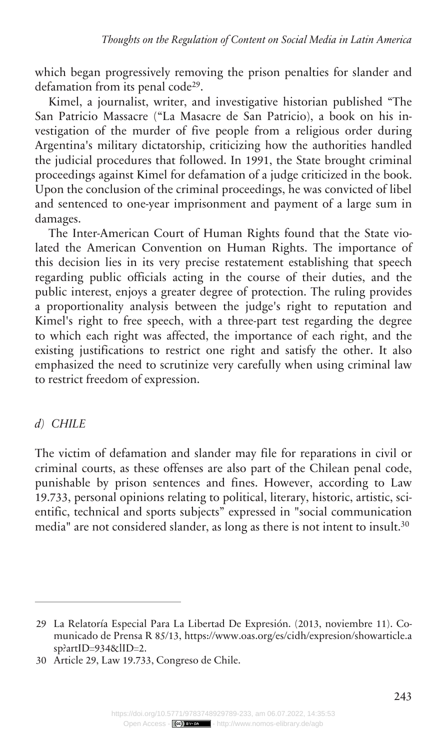which began progressively removing the prison penalties for slander and defamation from its penal code<sup>29</sup>.

Kimel, a journalist, writer, and investigative historian published "The San Patricio Massacre ("La Masacre de San Patricio), a book on his investigation of the murder of five people from a religious order during Argentina's military dictatorship, criticizing how the authorities handled the judicial procedures that followed. In 1991, the State brought criminal proceedings against Kimel for defamation of a judge criticized in the book. Upon the conclusion of the criminal proceedings, he was convicted of libel and sentenced to one-year imprisonment and payment of a large sum in damages.

The Inter-American Court of Human Rights found that the State violated the American Convention on Human Rights. The importance of this decision lies in its very precise restatement establishing that speech regarding public officials acting in the course of their duties, and the public interest, enjoys a greater degree of protection. The ruling provides a proportionality analysis between the judge's right to reputation and Kimel's right to free speech, with a three-part test regarding the degree to which each right was affected, the importance of each right, and the existing justifications to restrict one right and satisfy the other. It also emphasized the need to scrutinize very carefully when using criminal law to restrict freedom of expression.

### *CHILE d)*

The victim of defamation and slander may file for reparations in civil or criminal courts, as these offenses are also part of the Chilean penal code, punishable by prison sentences and fines. However, according to Law 19.733, personal opinions relating to political, literary, historic, artistic, scientific, technical and sports subjects" expressed in "social communication media" are not considered slander, as long as there is not intent to insult.<sup>30</sup>

<sup>29</sup> La Relatoría Especial Para La Libertad De Expresión. (2013, noviembre 11). Comunicado de Prensa R 85/13, [https://www.oas.org/es/cidh/expresion/showarticle.a](https://www.oas.org/es/cidh/expresion/showarticle.asp?artID=934&lID=2) [sp?artID=934&lID=2](https://www.oas.org/es/cidh/expresion/showarticle.asp?artID=934&lID=2).

<sup>30</sup> Article 29, Law 19.733, Congreso de Chile.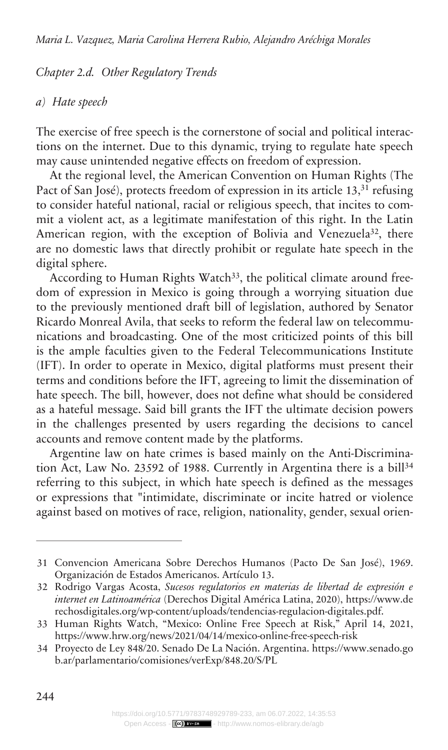#### *Other Regulatory Trends Chapter 2.d.*

#### *Hate speech a)*

The exercise of free speech is the cornerstone of social and political interactions on the internet. Due to this dynamic, trying to regulate hate speech may cause unintended negative effects on freedom of expression.

At the regional level, the American Convention on Human Rights (The Pact of San José), protects freedom of expression in its article 13,<sup>31</sup> refusing to consider hateful national, racial or religious speech, that incites to commit a violent act, as a legitimate manifestation of this right. In the Latin American region, with the exception of Bolivia and Venezuela<sup>32</sup>, there are no domestic laws that directly prohibit or regulate hate speech in the digital sphere.

According to Human Rights Watch<sup>33</sup>, the political climate around freedom of expression in Mexico is going through a worrying situation due to the previously mentioned draft bill of legislation, authored by Senator Ricardo Monreal Avila, that seeks to reform the federal law on telecommunications and broadcasting. One of the most criticized points of this bill is the ample faculties given to the Federal Telecommunications Institute (IFT). In order to operate in Mexico, digital platforms must present their terms and conditions before the IFT, agreeing to limit the dissemination of hate speech. The bill, however, does not define what should be considered as a hateful message. Said bill grants the IFT the ultimate decision powers in the challenges presented by users regarding the decisions to cancel accounts and remove content made by the platforms.

Argentine law on hate crimes is based mainly on the Anti-Discrimination Act, Law No. 23592 of 1988. Currently in Argentina there is a bill<sup>34</sup> referring to this subject, in which hate speech is defined as the messages or expressions that "intimidate, discriminate or incite hatred or violence against based on motives of race, religion, nationality, gender, sexual orien-

<sup>31</sup> Convencion Americana Sobre Derechos Humanos (Pacto De San José), 1969. Organización de Estados Americanos. Artículo 13.

<sup>32</sup> Rodrigo Vargas Acosta, *Sucesos regulatorios en materias de libertad de expresión e internet en Latinoamérica* (Derechos Digital América Latina, 2020), [https://www.de](https://www.derechosdigitales.org/wp-content/uploads/tendencias-regulacion-digitales.pdf) [rechosdigitales.org/wp-content/uploads/tendencias-regulacion-digitales.pdf](https://www.derechosdigitales.org/wp-content/uploads/tendencias-regulacion-digitales.pdf).

<sup>33</sup> Human Rights Watch, "Mexico: Online Free Speech at Risk," April 14, 2021, <https://www.hrw.org/news/2021/04/14/mexico-online-free-speech-risk>

<sup>34</sup> Proyecto de Ley 848/20. Senado De La Nación. Argentina. [https://www.senado.go](https://www.senado.gob.ar/parlamentario/comisiones/verExp/848.20/S/PL) [b.ar/parlamentario/comisiones/verExp/848.20/S/PL](https://www.senado.gob.ar/parlamentario/comisiones/verExp/848.20/S/PL)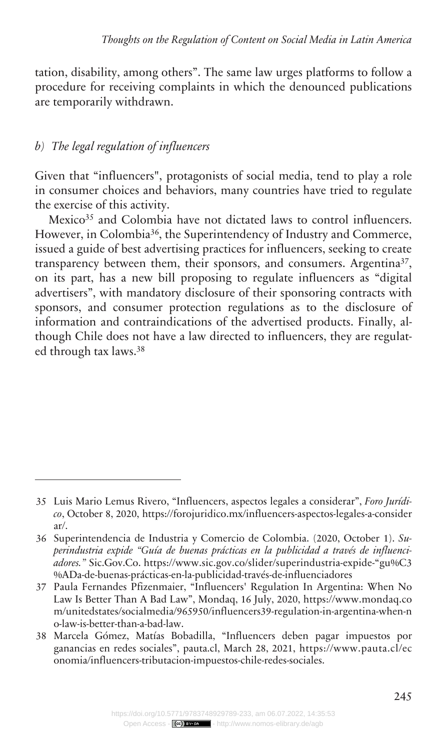tation, disability, among others". The same law urges platforms to follow a procedure for receiving complaints in which the denounced publications are temporarily withdrawn.

#### *The legal regulation of influencers b)*

Given that "influencers", protagonists of social media, tend to play a role in consumer choices and behaviors, many countries have tried to regulate the exercise of this activity.

Mexico<sup>35</sup> and Colombia have not dictated laws to control influencers. However, in Colombia<sup>36</sup>, the Superintendency of Industry and Commerce, issued a guide of best advertising practices for influencers, seeking to create transparency between them, their sponsors, and consumers. Argentina<sup>37</sup>, on its part, has a new bill proposing to regulate influencers as "digital advertisers", with mandatory disclosure of their sponsoring contracts with sponsors, and consumer protection regulations as to the disclosure of information and contraindications of the advertised products. Finally, although Chile does not have a law directed to influencers, they are regulated through tax laws.<sup>38</sup>

<sup>35</sup> Luis Mario Lemus Rivero, "Influencers, aspectos legales a considerar", *Foro Jurídico*, October 8, 2020, [https://forojuridico.mx/influencers-aspectos-legales-a-consider](https://forojuridico.mx/influencers-aspectos-legales-a-considerar/) [ar/](https://forojuridico.mx/influencers-aspectos-legales-a-considerar/).

<sup>36</sup> Superintendencia de Industria y Comercio de Colombia. (2020, October 1). *Superindustria expide "Guía de buenas prácticas en la publicidad a través de influenciadores."* Sic.Gov.Co. https://www.sic.gov.co/slider/superindustria-expide-"gu%C3 %ADa-de-buenas-prácticas-en-la-publicidad-través-de-influenciadores

<sup>37</sup> Paula Fernandes Pfizenmaier, "Influencers' Regulation In Argentina: When No Law Is Better Than A Bad Law", Mondaq, 16 July, 2020, [https://www.mondaq.co](https://www.mondaq.com/unitedstates/socialmedia/965950/influencers39-regulation-in-argentina-when-no-law-is-better-than-a-bad-law) [m/unitedstates/socialmedia/965950/influencers39-regulation-in-argentina-when-n](https://www.mondaq.com/unitedstates/socialmedia/965950/influencers39-regulation-in-argentina-when-no-law-is-better-than-a-bad-law) [o-law-is-better-than-a-bad-law](https://www.mondaq.com/unitedstates/socialmedia/965950/influencers39-regulation-in-argentina-when-no-law-is-better-than-a-bad-law).

<sup>38</sup> Marcela Gómez, Matías Bobadilla, "Influencers deben pagar impuestos por ganancias en redes sociales", pauta.cl, March 28, 2021, [https://www.pauta.cl/ec](https://www.pauta.cl/economia/influencers-tributacion-impuestos-chile-redes-sociales) [onomia/influencers-tributacion-impuestos-chile-redes-sociales.](https://www.pauta.cl/economia/influencers-tributacion-impuestos-chile-redes-sociales)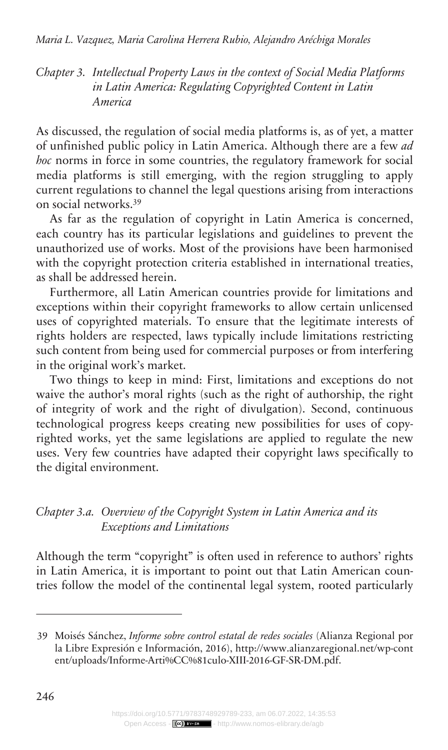*Intellectual Property Laws in the context of Social Media Platforms Chapter 3. in Latin America: Regulating Copyrighted Content in Latin America*

As discussed, the regulation of social media platforms is, as of yet, a matter of unfinished public policy in Latin America. Although there are a few *ad hoc* norms in force in some countries, the regulatory framework for social media platforms is still emerging, with the region struggling to apply current regulations to channel the legal questions arising from interactions on social networks.<sup>39</sup>

As far as the regulation of copyright in Latin America is concerned, each country has its particular legislations and guidelines to prevent the unauthorized use of works. Most of the provisions have been harmonised with the copyright protection criteria established in international treaties, as shall be addressed herein.

Furthermore, all Latin American countries provide for limitations and exceptions within their copyright frameworks to allow certain unlicensed uses of copyrighted materials. To ensure that the legitimate interests of rights holders are respected, laws typically include limitations restricting such content from being used for commercial purposes or from interfering in the original work's market.

Two things to keep in mind: First, limitations and exceptions do not waive the author's moral rights (such as the right of authorship, the right of integrity of work and the right of divulgation). Second, continuous technological progress keeps creating new possibilities for uses of copyrighted works, yet the same legislations are applied to regulate the new uses. Very few countries have adapted their copyright laws specifically to the digital environment.

*Overview of the Copyright System in Latin America and its Chapter 3.a. Exceptions and Limitations*

Although the term "copyright" is often used in reference to authors' rights in Latin America, it is important to point out that Latin American countries follow the model of the continental legal system, rooted particularly

<sup>39</sup> Moisés Sánchez, *Informe sobre control estatal de redes sociales* (Alianza Regional por la Libre Expresión e Información, 2016), [http://www.alianzaregional.net/wp-cont](http://www.alianzaregional.net/wp-content/uploads/Informe-Arti%CC%81culo-XIII-2016-GF-SR-DM.pdf) [ent/uploads/Informe-Arti%CC%81culo-XIII-2016-GF-SR-DM.pdf.](http://www.alianzaregional.net/wp-content/uploads/Informe-Arti%CC%81culo-XIII-2016-GF-SR-DM.pdf)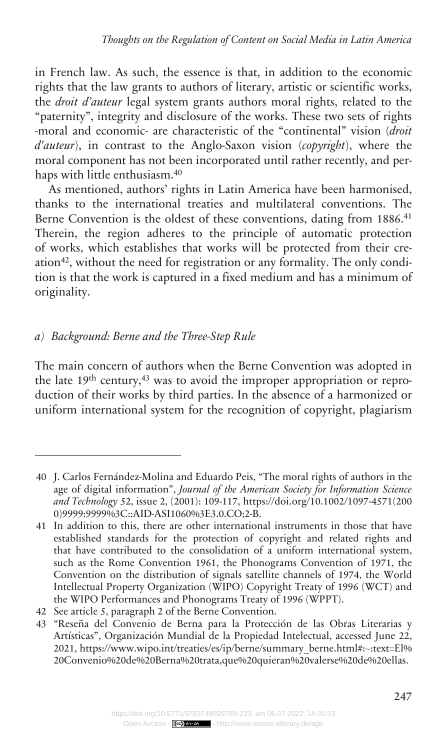in French law. As such, the essence is that, in addition to the economic rights that the law grants to authors of literary, artistic or scientific works, the *droit d'auteur* legal system grants authors moral rights, related to the "paternity", integrity and disclosure of the works. These two sets of rights -moral and economic- are characteristic of the "continental" vision (*droit d'auteur*), in contrast to the Anglo-Saxon vision (*copyright*), where the moral component has not been incorporated until rather recently, and perhaps with little enthusiasm.<sup>40</sup>

As mentioned, authors' rights in Latin America have been harmonised, thanks to the international treaties and multilateral conventions. The Berne Convention is the oldest of these conventions, dating from 1886.<sup>41</sup> Therein, the region adheres to the principle of automatic protection of works, which establishes that works will be protected from their creation42, without the need for registration or any formality. The only condition is that the work is captured in a fixed medium and has a minimum of originality.

### *Background: Berne and the Three-Step Rule a)*

The main concern of authors when the Berne Convention was adopted in the late 19th century,<sup>43</sup> was to avoid the improper appropriation or reproduction of their works by third parties. In the absence of a harmonized or uniform international system for the recognition of copyright, plagiarism

<sup>40</sup> J. Carlos Fernández-Molina and Eduardo Peis, "The moral rights of authors in the age of digital information", *Journal of the American Society for Information Science and Technology* 52, issue 2, (2001): 109-117, [https://doi.org/10.1002/1097-4571\(200](https://doi.org/10.1002/1097-4571(2000)9999:9999%3C::AID-ASI1060%3E3.0.CO;2-B) [0\)9999:9999%3C::AID-ASI1060%3E3.0.CO;2-B](https://doi.org/10.1002/1097-4571(2000)9999:9999%3C::AID-ASI1060%3E3.0.CO;2-B).

<sup>41</sup> In addition to this, there are other international instruments in those that have established standards for the protection of copyright and related rights and that have contributed to the consolidation of a uniform international system, such as the Rome Convention 1961, the Phonograms Convention of 1971, the Convention on the distribution of signals satellite channels of 1974, the World Intellectual Property Organization (WIPO) Copyright Treaty of 1996 (WCT) and the WIPO Performances and Phonograms Treaty of 1996 (WPPT).

<sup>42</sup> See article 5, paragraph 2 of the Berne Convention.

<sup>43</sup> "Reseña del Convenio de Berna para la Protección de las Obras Literarias y Artísticas", Organización Mundial de la Propiedad Intelectual, accessed June 22, 2021, [https://www.wipo.int/treaties/es/ip/berne/summary\\_berne.html#:~:text=El%](https://www.wipo.int/treaties/es/ip/berne/summary_berne.html#:~:text=El%20Convenio%20de%20Berna%20trata,que%20quieran%20valerse%20de%20ellas) [20Convenio%20de%20Berna%20trata,que%20quieran%20valerse%20de%20ellas.](https://www.wipo.int/treaties/es/ip/berne/summary_berne.html#:~:text=El%20Convenio%20de%20Berna%20trata,que%20quieran%20valerse%20de%20ellas)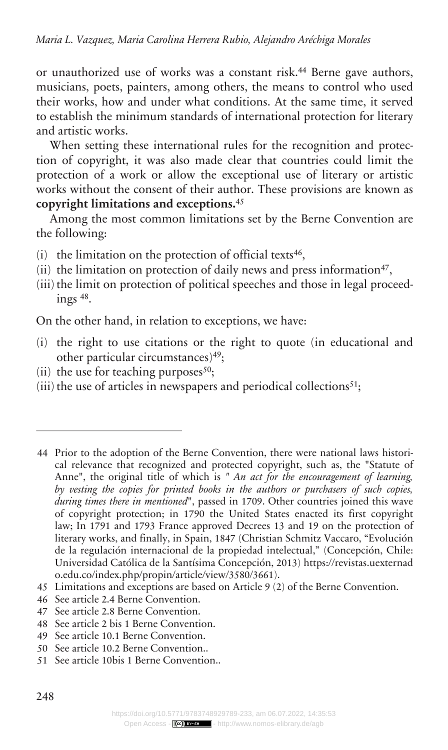or unauthorized use of works was a constant risk.<sup>44</sup> Berne gave authors, musicians, poets, painters, among others, the means to control who used their works, how and under what conditions. At the same time, it served to establish the minimum standards of international protection for literary and artistic works.

When setting these international rules for the recognition and protection of copyright, it was also made clear that countries could limit the protection of a work or allow the exceptional use of literary or artistic works without the consent of their author. These provisions are known as **copyright limitations and exceptions.**<sup>45</sup>

Among the most common limitations set by the Berne Convention are the following:

- $(i)$  the limitation on the protection of official texts<sup>46</sup>,
- (ii) the limitation on protection of daily news and press information<sup>47</sup>,
- (iii) the limit on protection of political speeches and those in legal proceedings <sup>48</sup> .

On the other hand, in relation to exceptions, we have:

- (i) the right to use citations or the right to quote (in educational and other particular circumstances)<sup>49</sup>;
- (ii) the use for teaching purposes $50$ ;
- (iii) the use of articles in newspapers and periodical collections $51$ ;

- 46 See article 2.4 Berne Convention.
- 47 See article 2.8 Berne Convention.
- 48 See article 2 bis 1 Berne Convention.
- 49 See article 10.1 Berne Convention.
- 50 See article 10.2 Berne Convention..
- 51 See article 10bis 1 Berne Convention..

<sup>44</sup> Prior to the adoption of the Berne Convention, there were national laws historical relevance that recognized and protected copyright, such as, the "Statute of Anne", the original title of which is *" An act for the encouragement of learning, by vesting the copies for printed books in the authors or purchasers of such copies, during times there in mentioned*", passed in 1709. Other countries joined this wave of copyright protection; in 1790 the United States enacted its first copyright law; In 1791 and 1793 France approved Decrees 13 and 19 on the protection of literary works, and finally, in Spain, 1847 (Christian Schmitz Vaccaro, "Evolución de la regulación internacional de la propiedad intelectual," (Concepción, Chile: Universidad Católica de la Santísima Concepción, 2013) [https://revistas.uexternad](https://revistas.uexternado.edu.co/index.php/propin/article/view/3580/3661) [o.edu.co/index.php/propin/article/view/3580/3661](https://revistas.uexternado.edu.co/index.php/propin/article/view/3580/3661)).

<sup>45</sup> Limitations and exceptions are based on Article 9 (2) of the Berne Convention.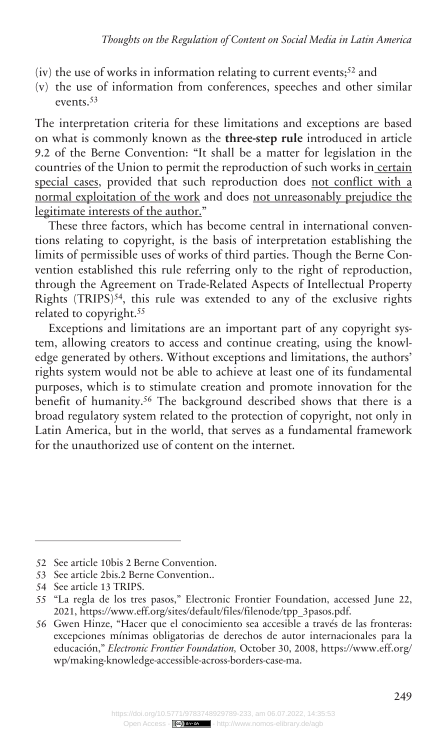- (iv) the use of works in information relating to current events;<sup>52</sup> and
- (v) the use of information from conferences, speeches and other similar events.<sup>53</sup>

The interpretation criteria for these limitations and exceptions are based on what is commonly known as the **three-step rule** introduced in article 9.2 of the Berne Convention: "It shall be a matter for legislation in the countries of the Union to permit the reproduction of such works in certain special cases, provided that such reproduction does not conflict with a normal exploitation of the work and does not unreasonably prejudice the legitimate interests of the author."

These three factors, which has become central in international conventions relating to copyright, is the basis of interpretation establishing the limits of permissible uses of works of third parties. Though the Berne Convention established this rule referring only to the right of reproduction, through the Agreement on Trade-Related Aspects of Intellectual Property Rights  $(TRIPS)^{54}$ , this rule was extended to any of the exclusive rights related to copyright.<sup>55</sup>

Exceptions and limitations are an important part of any copyright system, allowing creators to access and continue creating, using the knowledge generated by others. Without exceptions and limitations, the authors' rights system would not be able to achieve at least one of its fundamental purposes, which is to stimulate creation and promote innovation for the benefit of humanity.<sup>56</sup> The background described shows that there is a broad regulatory system related to the protection of copyright, not only in Latin America, but in the world, that serves as a fundamental framework for the unauthorized use of content on the internet.

<sup>52</sup> See article 10bis 2 Berne Convention.

<sup>53</sup> See article 2bis.2 Berne Convention..

<sup>54</sup> See article 13 TRIPS.

<sup>55</sup> "La regla de los tres pasos," Electronic Frontier Foundation, accessed June 22, 2021, [https://www.eff.org/sites/default/files/filenode/tpp\\_3pasos.pdf](https://www.eff.org/sites/default/files/filenode/tpp_3pasos.pdf).

<sup>56</sup> Gwen Hinze, "Hacer que el conocimiento sea accesible a través de las fronteras: excepciones mínimas obligatorias de derechos de autor internacionales para la educación," *Electronic Frontier Foundation,* October 30, 2008, [https://www.eff.org/](https://www.eff.org/wp/making-knowledge-accessible-across-borders-case-ma) [wp/making-knowledge-accessible-across-borders-case-ma.](https://www.eff.org/wp/making-knowledge-accessible-across-borders-case-ma)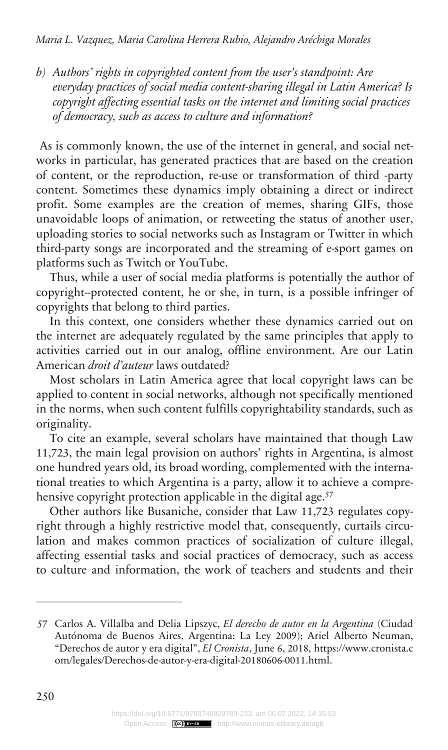*Authors' rights in copyrighted content from the user's standpoint: Are b) everyday practices of social media content-sharing illegal in Latin America? Is copyright affecting essential tasks on the internet and limiting social practices of democracy, such as access to culture and information?*

As is commonly known, the use of the internet in general, and social networks in particular, has generated practices that are based on the creation of content, or the reproduction, re-use or transformation of third -party content. Sometimes these dynamics imply obtaining a direct or indirect profit. Some examples are the creation of memes, sharing GIFs, those unavoidable loops of animation, or retweeting the status of another user, uploading stories to social networks such as Instagram or Twitter in which third-party songs are incorporated and the streaming of e-sport games on platforms such as Twitch or YouTube.

Thus, while a user of social media platforms is potentially the author of copyright--protected content, he or she, in turn, is a possible infringer of copyrights that belong to third parties.

In this context, one considers whether these dynamics carried out on the internet are adequately regulated by the same principles that apply to activities carried out in our analog, offline environment. Are our Latin American *droit d'auteur* laws outdated?

Most scholars in Latin America agree that local copyright laws can be applied to content in social networks, although not specifically mentioned in the norms, when such content fulfills copyrightability standards, such as originality.

To cite an example, several scholars have maintained that though Law 11,723, the main legal provision on authors' rights in Argentina, is almost one hundred years old, its broad wording, complemented with the international treaties to which Argentina is a party, allow it to achieve a comprehensive copyright protection applicable in the digital age.<sup>57</sup>

Other authors like Busaniche, consider that Law 11,723 regulates copyright through a highly restrictive model that, consequently, curtails circulation and makes common practices of socialization of culture illegal, affecting essential tasks and social practices of democracy, such as access to culture and information, the work of teachers and students and their

<sup>57</sup> Carlos A. Villalba and Delia Lipszyc, *El derecho de autor en la Argentina* (Ciudad Autónoma de Buenos Aires, Argentina: La Ley 2009); Ariel Alberto Neuman, "Derechos de autor y era digital", *El Cronista*, June 6, 2018, [https://www.cronista.c](https://www.cronista.com/legales/Derechos-de-autor-y-era-digital-20180606-0011.html) [om/legales/Derechos-de-autor-y-era-digital-20180606-0011.html](https://www.cronista.com/legales/Derechos-de-autor-y-era-digital-20180606-0011.html).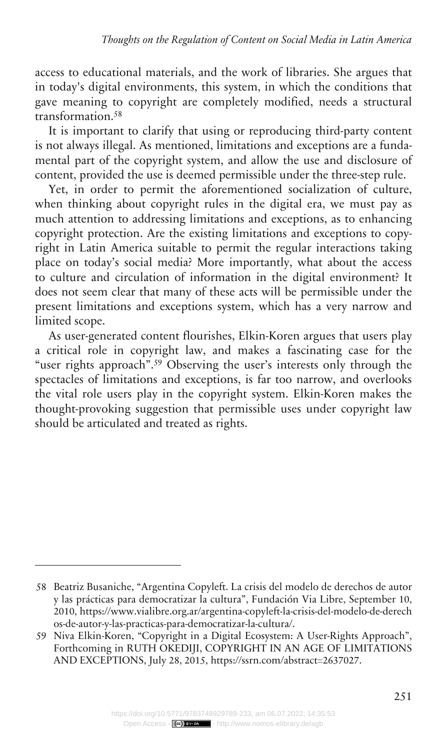access to educational materials, and the work of libraries. She argues that in today's digital environments, this system, in which the conditions that gave meaning to copyright are completely modified, needs a structural transformation.<sup>58</sup>

It is important to clarify that using or reproducing third-party content is not always illegal. As mentioned, limitations and exceptions are a fundamental part of the copyright system, and allow the use and disclosure of content, provided the use is deemed permissible under the three-step rule.

Yet, in order to permit the aforementioned socialization of culture, when thinking about copyright rules in the digital era, we must pay as much attention to addressing limitations and exceptions, as to enhancing copyright protection. Are the existing limitations and exceptions to copyright in Latin America suitable to permit the regular interactions taking place on today's social media? More importantly, what about the access to culture and circulation of information in the digital environment? It does not seem clear that many of these acts will be permissible under the present limitations and exceptions system, which has a very narrow and limited scope.

As user-generated content flourishes, Elkin-Koren argues that users play a critical role in copyright law, and makes a fascinating case for the "user rights approach".<sup>59</sup> Observing the user's interests only through the spectacles of limitations and exceptions, is far too narrow, and overlooks the vital role users play in the copyright system. Elkin-Koren makes the thought-provoking suggestion that permissible uses under copyright law should be articulated and treated as rights.

<sup>58</sup> Beatriz Busaniche, "Argentina Copyleft. La crisis del modelo de derechos de autor y las prácticas para democratizar la cultura", Fundación Via Libre, September 10, 2010, [https://www.vialibre.org.ar/argentina-copyleft-la-crisis-del-modelo-de-derech](https://www.vialibre.org.ar/argentina-copyleft-la-crisis-del-modelo-de-derechos-de-autor-y-las-practicas-para-democratizar-la-cultura/) [os-de-autor-y-las-practicas-para-democratizar-la-cultura/.](https://www.vialibre.org.ar/argentina-copyleft-la-crisis-del-modelo-de-derechos-de-autor-y-las-practicas-para-democratizar-la-cultura/)

<sup>59</sup> Niva Elkin-Koren, "Copyright in a Digital Ecosystem: A User-Rights Approach", Forthcoming in RUTH OKEDIJI, COPYRIGHT IN AN AGE OF LIMITATIONS AND EXCEPTIONS, July 28, 2015, [https://ssrn.com/abstract=2637027.](https://ssrn.com/abstract=2637027)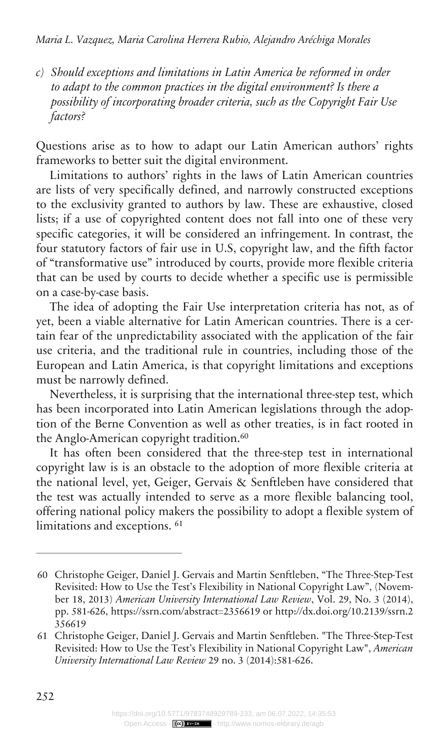*Should exceptions and limitations in Latin America be reformed in order c) to adapt to the common practices in the digital environment? Is there a possibility of incorporating broader criteria, such as the Copyright Fair Use factors?*

Questions arise as to how to adapt our Latin American authors' rights frameworks to better suit the digital environment.

Limitations to authors' rights in the laws of Latin American countries are lists of very specifically defined, and narrowly constructed exceptions to the exclusivity granted to authors by law. These are exhaustive, closed lists; if a use of copyrighted content does not fall into one of these very specific categories, it will be considered an infringement. In contrast, the four statutory factors of fair use in U.S, copyright law, and the fifth factor of "transformative use" introduced by courts, provide more flexible criteria that can be used by courts to decide whether a specific use is permissible on a case-by-case basis.

The idea of adopting the Fair Use interpretation criteria has not, as of yet, been a viable alternative for Latin American countries. There is a certain fear of the unpredictability associated with the application of the fair use criteria, and the traditional rule in countries, including those of the European and Latin America, is that copyright limitations and exceptions must be narrowly defined.

Nevertheless, it is surprising that the international three-step test, which has been incorporated into Latin American legislations through the adoption of the Berne Convention as well as other treaties, is in fact rooted in the Anglo-American copyright tradition.<sup>60</sup>

It has often been considered that the three-step test in international copyright law is is an obstacle to the adoption of more flexible criteria at the national level, yet, Geiger, Gervais & Senftleben have considered that the test was actually intended to serve as a more flexible balancing tool, offering national policy makers the possibility to adopt a flexible system of limitations and exceptions. <sup>61</sup>

<sup>60</sup> Christophe Geiger, Daniel J. Gervais and Martin Senftleben, "The Three-Step-Test Revisited: How to Use the Test's Flexibility in National Copyright Law", (November 18, 2013) *American University International Law Review*, Vol. 29, No. 3 (2014), pp. 581-626,<https://ssrn.com/abstract=2356619> or [http://dx.doi.org/10.2139/ssrn.2](http://dx.doi.org/10.2139/ssrn.2356619) [356619](http://dx.doi.org/10.2139/ssrn.2356619)

<sup>61</sup> Christophe Geiger, Daniel J. Gervais and Martin Senftleben. "The Three-Step-Test Revisited: How to Use the Test's Flexibility in National Copyright Law", *American University International Law Review* 29 no. 3 (2014):581-626.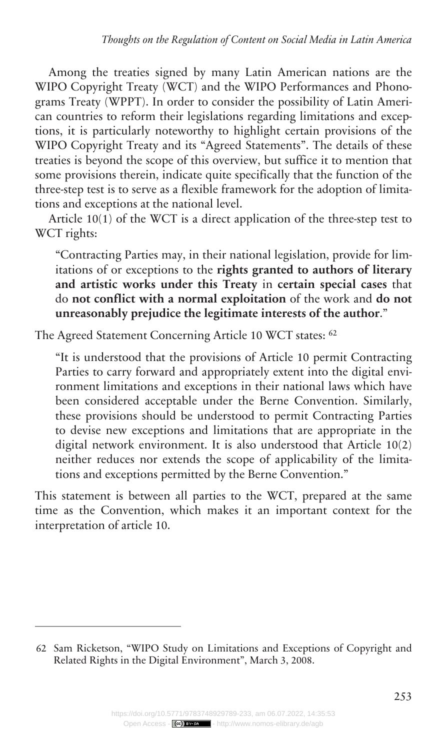Among the treaties signed by many Latin American nations are the WIPO Copyright Treaty (WCT) and the WIPO Performances and Phonograms Treaty (WPPT). In order to consider the possibility of Latin American countries to reform their legislations regarding limitations and exceptions, it is particularly noteworthy to highlight certain provisions of the WIPO Copyright Treaty and its "Agreed Statements". The details of these treaties is beyond the scope of this overview, but suffice it to mention that some provisions therein, indicate quite specifically that the function of the three-step test is to serve as a flexible framework for the adoption of limitations and exceptions at the national level.

Article 10(1) of the WCT is a direct application of the three-step test to WCT rights:

"Contracting Parties may, in their national legislation, provide for limitations of or exceptions to the **rights granted to authors of literary and artistic works under this Treaty** in **certain special cases** that do **not conflict with a normal exploitation** of the work and **do not unreasonably prejudice the legitimate interests of the author**."

The Agreed Statement Concerning Article 10 WCT states: <sup>62</sup>

"It is understood that the provisions of Article 10 permit Contracting Parties to carry forward and appropriately extent into the digital environment limitations and exceptions in their national laws which have been considered acceptable under the Berne Convention. Similarly, these provisions should be understood to permit Contracting Parties to devise new exceptions and limitations that are appropriate in the digital network environment. It is also understood that Article 10(2) neither reduces nor extends the scope of applicability of the limitations and exceptions permitted by the Berne Convention."

This statement is between all parties to the WCT, prepared at the same time as the Convention, which makes it an important context for the interpretation of article 10.

<sup>62</sup> Sam Ricketson, "WIPO Study on Limitations and Exceptions of Copyright and Related Rights in the Digital Environment", March 3, 2008.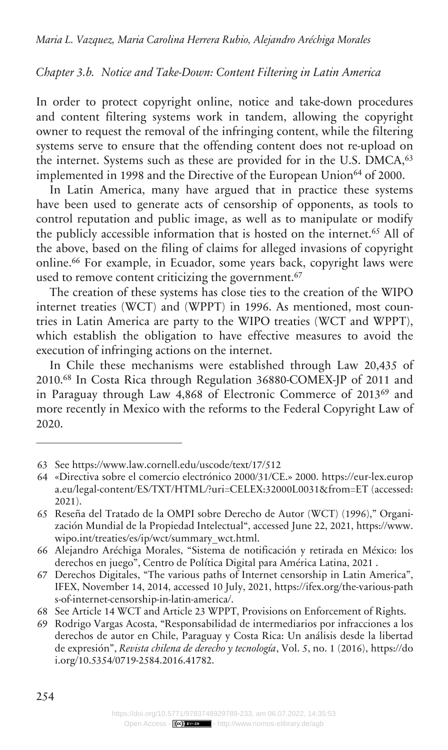#### *Notice and Take-Down: Content Filtering in Latin America Chapter 3.b.*

In order to protect copyright online, notice and take-down procedures and content filtering systems work in tandem, allowing the copyright owner to request the removal of the infringing content, while the filtering systems serve to ensure that the offending content does not re-upload on the internet. Systems such as these are provided for in the U.S. DMCA,<sup>63</sup> implemented in 1998 and the Directive of the European Union<sup>64</sup> of 2000.

In Latin America, many have argued that in practice these systems have been used to generate acts of censorship of opponents, as tools to control reputation and public image, as well as to manipulate or modify the publicly accessible information that is hosted on the internet.<sup>65</sup> All of the above, based on the filing of claims for alleged invasions of copyright online.<sup>66</sup> For example, in Ecuador, some years back, copyright laws were used to remove content criticizing the government.<sup>67</sup>

The creation of these systems has close ties to the creation of the WIPO internet treaties (WCT) and (WPPT) in 1996. As mentioned, most countries in Latin America are party to the WIPO treaties (WCT and WPPT), which establish the obligation to have effective measures to avoid the execution of infringing actions on the internet.

In Chile these mechanisms were established through Law 20,435 of 2010.<sup>68</sup> In Costa Rica through Regulation 36880-COMEX-JP of 2011 and in Paraguay through Law 4,868 of Electronic Commerce of 2013<sup>69</sup> and more recently in Mexico with the reforms to the Federal Copyright Law of 2020.

<sup>63</sup> See<https://www.law.cornell.edu/uscode/text/17/512>

<sup>64</sup> «Directiva sobre el comercio electrónico 2000/31/CE.» 2000. https://eur-lex.europ a.eu/legal-content/ES/TXT/HTML/?uri=CELEX:32000L0031&from=ET (accessed: 2021).

<sup>65</sup> Reseña del Tratado de la OMPI sobre Derecho de Autor (WCT) (1996)," Organización Mundial de la Propiedad Intelectual", accessed June 22, 2021, [https://www.](https://www.wipo.int/treaties/es/ip/wct/summary_wct.html) [wipo.int/treaties/es/ip/wct/summary\\_wct.html.](https://www.wipo.int/treaties/es/ip/wct/summary_wct.html)

<sup>66</sup> Alejandro Aréchiga Morales, "Sistema de notificación y retirada en México: los derechos en juego", Centro de Política Digital para América Latina, 2021 .

<sup>67</sup> Derechos Digitales, "The various paths of Internet censorship in Latin America", IFEX, November 14, 2014, accessed 10 July, 2021, [https://ifex.org/the-various-path](https://ifex.org/the-various-paths-of-internet-censorship-in-latin-america/) [s-of-internet-censorship-in-latin-america/.](https://ifex.org/the-various-paths-of-internet-censorship-in-latin-america/)

<sup>68</sup> See Article 14 WCT and Article 23 WPPT, Provisions on Enforcement of Rights.

<sup>69</sup> Rodrigo Vargas Acosta, "Responsabilidad de intermediarios por infracciones a los derechos de autor en Chile, Paraguay y Costa Rica: Un análisis desde la libertad de expresión", *Revista chilena de derecho y tecnología*, Vol. 5, no. 1 (2016), [https://do](https://doi.org/10.5354/0719-2584.2016.41782) [i.org/10.5354/0719-2584.2016.41782.](https://doi.org/10.5354/0719-2584.2016.41782)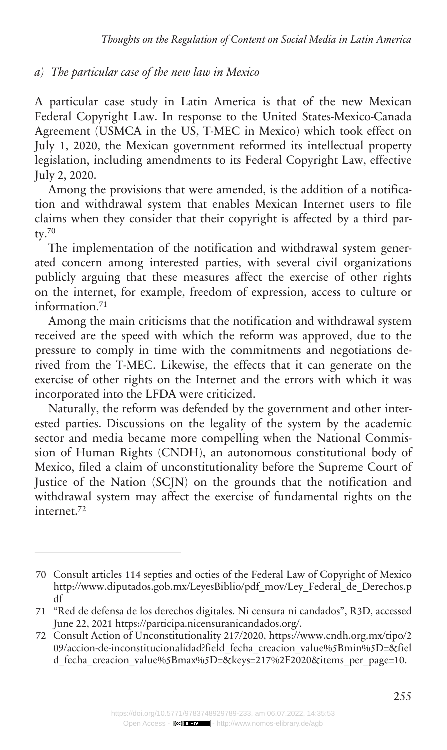#### *The particular case of the new law in Mexico a)*

A particular case study in Latin America is that of the new Mexican Federal Copyright Law. In response to the United States-Mexico-Canada Agreement (USMCA in the US, T-MEC in Mexico) which took effect on July 1, 2020, the Mexican government reformed its intellectual property legislation, including amendments to its Federal Copyright Law, effective July 2, 2020.

Among the provisions that were amended, is the addition of a notification and withdrawal system that enables Mexican Internet users to file claims when they consider that their copyright is affected by a third party.<sup>70</sup>

The implementation of the notification and withdrawal system generated concern among interested parties, with several civil organizations publicly arguing that these measures affect the exercise of other rights on the internet, for example, freedom of expression, access to culture or information.<sup>71</sup>

Among the main criticisms that the notification and withdrawal system received are the speed with which the reform was approved, due to the pressure to comply in time with the commitments and negotiations derived from the T-MEC. Likewise, the effects that it can generate on the exercise of other rights on the Internet and the errors with which it was incorporated into the LFDA were criticized.

Naturally, the reform was defended by the government and other interested parties. Discussions on the legality of the system by the academic sector and media became more compelling when the National Commission of Human Rights (CNDH), an autonomous constitutional body of Mexico, filed a claim of unconstitutionality before the Supreme Court of Justice of the Nation (SCJN) on the grounds that the notification and withdrawal system may affect the exercise of fundamental rights on the internet.<sup>72</sup>

<sup>70</sup> Consult articles 114 septies and octies of the Federal Law of Copyright of Mexico [http://www.diputados.gob.mx/LeyesBiblio/pdf\\_mov/Ley\\_Federal\\_de\\_Derechos.p](http://www.diputados.gob.mx/LeyesBiblio/pdf_mov/Ley_Federal_de_Derechos.pdf) [df](http://www.diputados.gob.mx/LeyesBiblio/pdf_mov/Ley_Federal_de_Derechos.pdf)

<sup>71</sup> "Red de defensa de los derechos digitales. Ni censura ni candados", R3D, accessed June 22, 2021<https://participa.nicensuranicandados.org/>.

<sup>72</sup> Consult Action of Unconstitutionality 217/2020, [https://www.cndh.org.mx/tipo/2](https://www.cndh.org.mx/tipo/209/accion-de-inconstitucionalidad?field_fecha_creacion_value%5Bmin%5D=&field_fecha_creacion_value%5Bmax%5D=&keys=217%2F2020&items_per_page=10) 09/accion-de-inconstitucionalidad?field fecha creacion value%5Bmin%5D=&fiel [d\\_fecha\\_creacion\\_value%5Bmax%5D=&keys=217%2F2020&items\\_per\\_page=10.](https://www.cndh.org.mx/tipo/209/accion-de-inconstitucionalidad?field_fecha_creacion_value%5Bmin%5D=&field_fecha_creacion_value%5Bmax%5D=&keys=217%2F2020&items_per_page=10)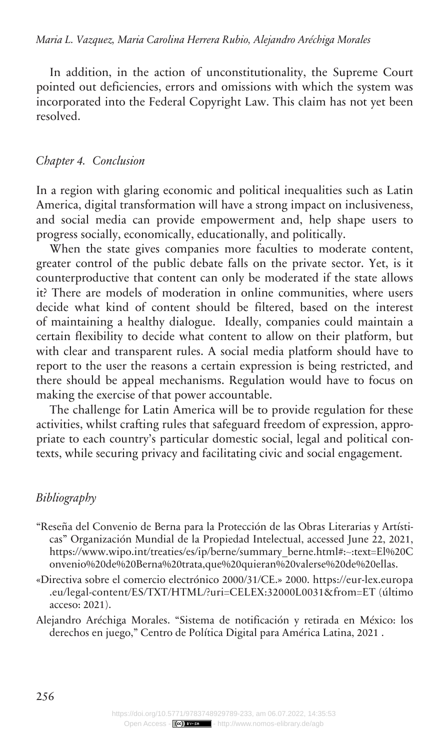In addition, in the action of unconstitutionality, the Supreme Court pointed out deficiencies, errors and omissions with which the system was incorporated into the Federal Copyright Law. This claim has not yet been resolved.

#### *Conclusion Chapter 4.*

In a region with glaring economic and political inequalities such as Latin America, digital transformation will have a strong impact on inclusiveness, and social media can provide empowerment and, help shape users to progress socially, economically, educationally, and politically.

When the state gives companies more faculties to moderate content, greater control of the public debate falls on the private sector. Yet, is it counterproductive that content can only be moderated if the state allows it? There are models of moderation in online communities, where users decide what kind of content should be filtered, based on the interest of maintaining a healthy dialogue. Ideally, companies could maintain a certain flexibility to decide what content to allow on their platform, but with clear and transparent rules. A social media platform should have to report to the user the reasons a certain expression is being restricted, and there should be appeal mechanisms. Regulation would have to focus on making the exercise of that power accountable.

The challenge for Latin America will be to provide regulation for these activities, whilst crafting rules that safeguard freedom of expression, appropriate to each country's particular domestic social, legal and political contexts, while securing privacy and facilitating civic and social engagement.

#### *Bibliography*

- "Reseña del Convenio de Berna para la Protección de las Obras Literarias y Artísticas" Organización Mundial de la Propiedad Intelectual, accessed June 22, 2021, [https://www.wipo.int/treaties/es/ip/berne/summary\\_berne.html#:~:text=El%20C](https://www.wipo.int/treaties/es/ip/berne/summary_berne.html#:~:text=El%20Convenio%20de%20Berna%20trata,que%20quieran%20valerse%20de%20ellas) [onvenio%20de%20Berna%20trata,que%20quieran%20valerse%20de%20ellas.](https://www.wipo.int/treaties/es/ip/berne/summary_berne.html#:~:text=El%20Convenio%20de%20Berna%20trata,que%20quieran%20valerse%20de%20ellas)
- «Directiva sobre el comercio electrónico 2000/31/CE.» 2000. [https://eur-lex.europa](https://eur-lex.europa.eu/legal-content/ES/TXT/HTML/?uri=CELEX:32000L0031&from=ET) [.eu/legal-content/ES/TXT/HTML/?uri=CELEX:32000L0031&from=ET](https://eur-lex.europa.eu/legal-content/ES/TXT/HTML/?uri=CELEX:32000L0031&from=ET) (último acceso: 2021).
- Alejandro Aréchiga Morales. "Sistema de notificación y retirada en México: los derechos en juego," Centro de Política Digital para América Latina, 2021 .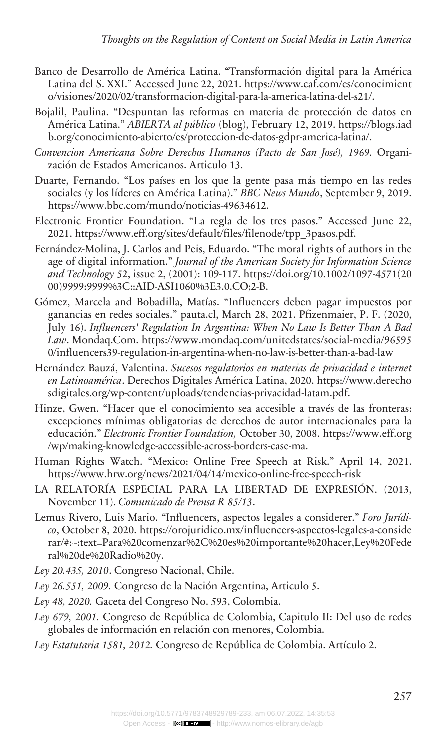- Banco de Desarrollo de América Latina. "Transformación digital para la América Latina del S. XXI." Accessed June 22, 2021. [https://www.caf.com/es/conocimient](https://www.caf.com/es/conocimiento/visiones/2020/02/transformacion-digital-para-la-america-latina-del-s21/) [o/visiones/2020/02/transformacion-digital-para-la-america-latina-del-s21/.](https://www.caf.com/es/conocimiento/visiones/2020/02/transformacion-digital-para-la-america-latina-del-s21/)
- Bojalil, Paulina. "Despuntan las reformas en materia de protección de datos en América Latina." *ABIERTA al público* (blog), February 12, 2019. [https://blogs.iad](https://blogs.iadb.org/conocimiento-abierto/es/proteccion-de-datos-gdpr-america-latina/) [b.org/conocimiento-abierto/es/proteccion-de-datos-gdpr-america-latina/](https://blogs.iadb.org/conocimiento-abierto/es/proteccion-de-datos-gdpr-america-latina/).
- *Convencion Americana Sobre Derechos Humanos (Pacto de San José), 1969.* Organización de Estados Americanos. Articulo 13.
- Duarte, Fernando. "Los países en los que la gente pasa más tiempo en las redes sociales (y los líderes en América Latina)." *BBC News Mundo*, September 9, 2019. <https://www.bbc.com/mundo/noticias-49634612>.
- Electronic Frontier Foundation. "La regla de los tres pasos." Accessed June 22, 2021. [https://www.eff.org/sites/default/files/filenode/tpp\\_3pasos.pdf](https://www.eff.org/sites/default/files/filenode/tpp_3pasos.pdf).
- Fernández-Molina, J. Carlos and Peis, Eduardo. "The moral rights of authors in the age of digital information." *Journal of the American Society for Information Science and Technology* 52, issue 2, (2001): 109-117. [https://doi.org/10.1002/1097-4571\(20](https://doi.org/10.1002/1097-4571(2000)9999:9999%3C::AID-ASI1060%3E3.0.CO;2-B) [00\)9999:9999%3C::AID-ASI1060%3E3.0.CO;2-B.](https://doi.org/10.1002/1097-4571(2000)9999:9999%3C::AID-ASI1060%3E3.0.CO;2-B)
- Gómez, Marcela and Bobadilla, Matías. "Influencers deben pagar impuestos por ganancias en redes sociales." pauta.cl, March 28, 2021. Pfizenmaier, P. F. (2020, July 16). *Influencers' Regulation In Argentina: When No Law Is Better Than A Bad Law*. Mondaq.Com. [https://www.mondaq.com/unitedstates/social-media/96595](https://www.mondaq.com/unitedstates/social-media/965950/influencers39-regulation-in-argentina-when-no-law-is-better-than-a-bad-law) [0/influencers39-regulation-in-argentina-when-no-law-is-better-than-a-bad-law](https://www.mondaq.com/unitedstates/social-media/965950/influencers39-regulation-in-argentina-when-no-law-is-better-than-a-bad-law)
- Hernández Bauzá, Valentina. *Sucesos regulatorios en materias de privacidad e internet en Latinoamérica*. Derechos Digitales América Latina, 2020. [https://www.derecho](https://www.derechosdigitales.org/wp-content/uploads/tendencias-privacidad-latam.pdf) [sdigitales.org/wp-content/uploads/tendencias-privacidad-latam.pdf](https://www.derechosdigitales.org/wp-content/uploads/tendencias-privacidad-latam.pdf).
- Hinze, Gwen. "Hacer que el conocimiento sea accesible a través de las fronteras: excepciones mínimas obligatorias de derechos de autor internacionales para la educación." *Electronic Frontier Foundation,* October 30, 2008. [https://www.eff.org](https://www.eff.org/wp/making-knowledge-accessible-across-borders-case-ma) [/wp/making-knowledge-accessible-across-borders-case-ma](https://www.eff.org/wp/making-knowledge-accessible-across-borders-case-ma).
- Human Rights Watch. "Mexico: Online Free Speech at Risk." April 14, 2021. <https://www.hrw.org/news/2021/04/14/mexico-online-free-speech-risk>
- LA RELATORÍA ESPECIAL PARA LA LIBERTAD DE EXPRESIÓN. (2013, November 11). *Comunicado de Prensa R 85/13*.
- Lemus Rivero, Luis Mario. "Influencers, aspectos legales a considerer." *Foro Jurídico*, October 8, 2020. [https://orojuridico.mx/influencers-aspectos-legales-a-conside](https://orojuridico.mx/influencers-aspectos-legales-a-considerar/#:~:text=Para%20comenzar%2C%20es%20importante%20hacer,Ley%20Federal%20de%20Radio%20y) [rar/#:~:text=Para%20comenzar%2C%20es%20importante%20hacer,Ley%20Fede](https://orojuridico.mx/influencers-aspectos-legales-a-considerar/#:~:text=Para%20comenzar%2C%20es%20importante%20hacer,Ley%20Federal%20de%20Radio%20y) [ral%20de%20Radio%20y.](https://orojuridico.mx/influencers-aspectos-legales-a-considerar/#:~:text=Para%20comenzar%2C%20es%20importante%20hacer,Ley%20Federal%20de%20Radio%20y)
- *Ley 20.435, 2010*. Congreso Nacional, Chile.
- *Ley 26.551, 2009.* Congreso de la Nación Argentina, Articulo 5.
- *Ley 48, 2020.* Gaceta del Congreso No. 593, Colombia.
- *Ley 679, 2001.* Congreso de República de Colombia, Capitulo II: Del uso de redes globales de información en relación con menores, Colombia.
- *Ley Estatutaria 1581, 2012.* Congreso de República de Colombia. Artículo 2.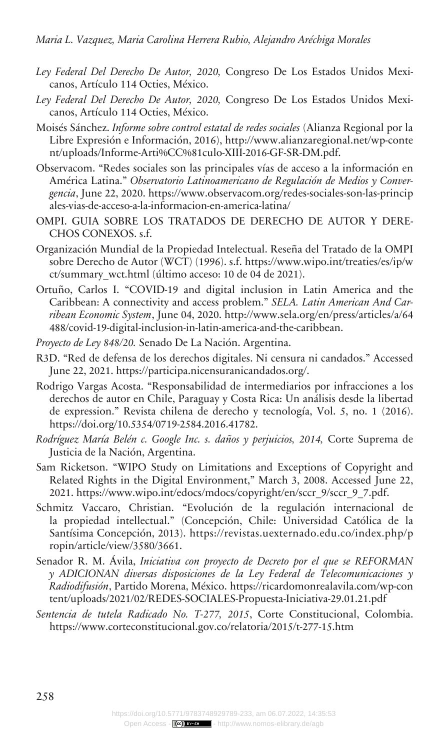- *Ley Federal Del Derecho De Autor, 2020,* Congreso De Los Estados Unidos Mexicanos, Artículo 114 Octies, México.
- *Ley Federal Del Derecho De Autor, 2020,* Congreso De Los Estados Unidos Mexicanos, Artículo 114 Octies, México.
- Moisés Sánchez. *Informe sobre control estatal de redes sociales* (Alianza Regional por la Libre Expresión e Información, 2016), [http://www.alianzaregional.net/wp-conte](http://www.alianzaregional.net/wp-content/uploads/Informe-Arti%CC%81culo-XIII-2016-GF-SR-DM.pdf) [nt/uploads/Informe-Arti%CC%81culo-XIII-2016-GF-SR-DM.pdf](http://www.alianzaregional.net/wp-content/uploads/Informe-Arti%CC%81culo-XIII-2016-GF-SR-DM.pdf).
- Observacom. "Redes sociales son las principales vías de acceso a la información en América Latina." *Observatorio Latinoamericano de Regulación de Medios y Convergencia*, June 22, 2020. [https://www.observacom.org/redes-sociales-son-las-princip](https://www.observacom.org/redes-sociales-son-las-principales-vias-de-acceso-a-la-informacion-en-america-latina/) [ales-vias-de-acceso-a-la-informacion-en-america-latina/](https://www.observacom.org/redes-sociales-son-las-principales-vias-de-acceso-a-la-informacion-en-america-latina/)
- OMPI. GUIA SOBRE LOS TRATADOS DE DERECHO DE AUTOR Y DERE-CHOS CONEXOS. s.f.
- Organización Mundial de la Propiedad Intelectual. Reseña del Tratado de la OMPI sobre Derecho de Autor (WCT) (1996). s.f. [https://www.wipo.int/treaties/es/ip/w](https://www.wipo.int/treaties/es/ip/wct/summary_wct.html) [ct/summary\\_wct.html](https://www.wipo.int/treaties/es/ip/wct/summary_wct.html) (último acceso: 10 de 04 de 2021).
- Ortuño, Carlos I. "COVID-19 and digital inclusion in Latin America and the Caribbean: A connectivity and access problem." *SELA. Latin American And Carribean Economic System*, June 04, 2020. [http://www.sela.org/en/press/articles/a/64](http://www.sela.org/en/press/articles/a/64488/covid-19-digital-inclusion-in-latin-america-and-the-caribbean) [488/covid-19-digital-inclusion-in-latin-america-and-the-caribbean](http://www.sela.org/en/press/articles/a/64488/covid-19-digital-inclusion-in-latin-america-and-the-caribbean).
- *Proyecto de Ley 848/20.* Senado De La Nación. Argentina.
- R3D. "Red de defensa de los derechos digitales. Ni censura ni candados." Accessed June 22, 2021. [https://participa.nicensuranicandados.org/.](https://participa.nicensuranicandados.org/)
- Rodrigo Vargas Acosta. "Responsabilidad de intermediarios por infracciones a los derechos de autor en Chile, Paraguay y Costa Rica: Un análisis desde la libertad de expression." Revista chilena de derecho y tecnología, Vol. 5, no. 1 (2016). <https://doi.org/10.5354/0719-2584.2016.41782>.
- *Rodríguez María Belén c. Google Inc. s. daños y perjuicios, 2014,* Corte Suprema de Justicia de la Nación, Argentina.
- Sam Ricketson. "WIPO Study on Limitations and Exceptions of Copyright and Related Rights in the Digital Environment," March 3, 2008. Accessed June 22, 2021. [https://www.wipo.int/edocs/mdocs/copyright/en/sccr\\_9/sccr\\_9\\_7.pdf.](https://www.wipo.int/edocs/mdocs/copyright/en/sccr_9/sccr_9_7.pdf)
- Schmitz Vaccaro, Christian. "Evolución de la regulación internacional de la propiedad intellectual." (Concepción, Chile: Universidad Católica de la Santísima Concepción, 2013). [https://revistas.uexternado.edu.co/index.php/p](https://revistas.uexternado.edu.co/index.php/propin/article/view/3580/3661) [ropin/article/view/3580/3661.](https://revistas.uexternado.edu.co/index.php/propin/article/view/3580/3661)
- Senador R. M. Ávila, *Iniciativa con proyecto de Decreto por el que se REFORMAN y ADICIONAN diversas disposiciones de la Ley Federal de Telecomunicaciones y Radiodifusión*, Partido Morena, México. [https://ricardomonrealavila.com/wp-con](https://ricardomonrealavila.com/wp-content/uploads/2021/02/REDES-SOCIALES-Propuesta-Iniciativa-29.01.21.pdf) [tent/uploads/2021/02/REDES-SOCIALES-Propuesta-Iniciativa-29.01.21.pdf](https://ricardomonrealavila.com/wp-content/uploads/2021/02/REDES-SOCIALES-Propuesta-Iniciativa-29.01.21.pdf)
- *Sentencia de tutela Radicado No. T-277, 2015*, Corte Constitucional, Colombia. <https://www.corteconstitucional.gov.co/relatoria/2015/t-277-15.htm>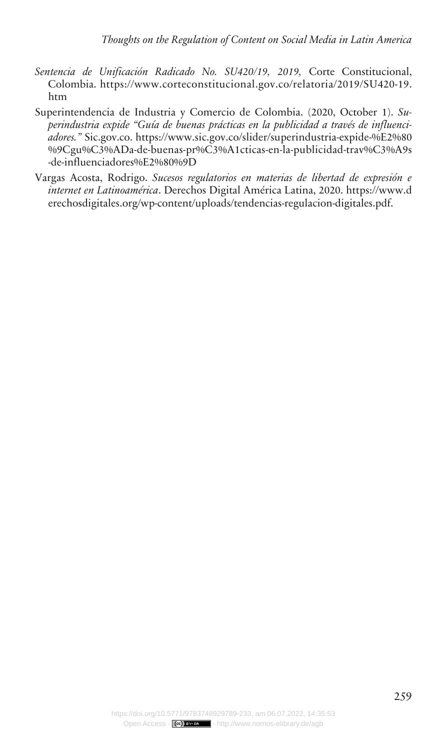- *Sentencia de Unificación Radicado No. SU420/19, 2019,* Corte Constitucional, Colombia. [https://www.corteconstitucional.gov.co/relatoria/2019/SU420-19.](https://www.corteconstitucional.gov.co/relatoria/2019/SU420-19.htm) [htm](https://www.corteconstitucional.gov.co/relatoria/2019/SU420-19.htm)
- Superintendencia de Industria y Comercio de Colombia. (2020, October 1). *Superindustria expide "Guía de buenas prácticas en la publicidad a través de influenciadores."* Sic.gov.co. [https://www.sic.gov.co/slider/superindustria-expide-%E2%80](https://www.sic.gov.co/slider/superindustria-expide-%E2%80%9Cgu%C3%ADa-de-buenas-pr%C3%A1cticas-en-la-publicidad-trav%C3%A9s-de-influenciadores%E2%80%9D) [%9Cgu%C3%ADa-de-buenas-pr%C3%A1cticas-en-la-publicidad-trav%C3%A9s](https://www.sic.gov.co/slider/superindustria-expide-%E2%80%9Cgu%C3%ADa-de-buenas-pr%C3%A1cticas-en-la-publicidad-trav%C3%A9s-de-influenciadores%E2%80%9D) [-de-influenciadores%E2%80%9D](https://www.sic.gov.co/slider/superindustria-expide-%E2%80%9Cgu%C3%ADa-de-buenas-pr%C3%A1cticas-en-la-publicidad-trav%C3%A9s-de-influenciadores%E2%80%9D)
- Vargas Acosta, Rodrigo. *Sucesos regulatorios en materias de libertad de expresión e internet en Latinoamérica*. Derechos Digital América Latina, 2020. [https://www.d](https://www.derechosdigitales.org/wp-content/uploads/tendencias-regulacion-digitales.pdf) [erechosdigitales.org/wp-content/uploads/tendencias-regulacion-digitales.pdf.](https://www.derechosdigitales.org/wp-content/uploads/tendencias-regulacion-digitales.pdf)